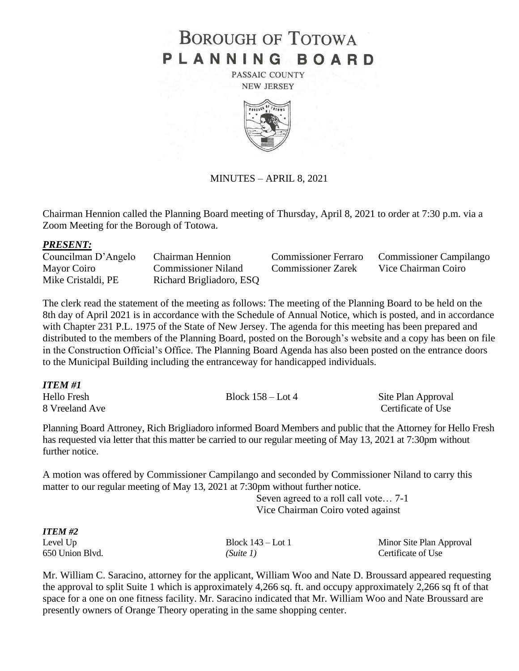# **BOROUGH OF TOTOWA** PLANNING BOARD

PASSAIC COUNTY **NEW JERSEY** 



## MINUTES – APRIL 8, 2021

Chairman Hennion called the Planning Board meeting of Thursday, April 8, 2021 to order at 7:30 p.m. via a Zoom Meeting for the Borough of Totowa.

#### *PRESENT:*

| Councilman D'Angelo | Chairman Hennion         | <b>Commissioner Ferraro</b> | <b>Commissioner Campilango</b> |
|---------------------|--------------------------|-----------------------------|--------------------------------|
| Mayor Coiro         | Commissioner Niland      | <b>Commissioner Zarek</b>   | Vice Chairman Coiro            |
| Mike Cristaldi, PE  | Richard Brigliadoro, ESQ |                             |                                |

The clerk read the statement of the meeting as follows: The meeting of the Planning Board to be held on the 8th day of April 2021 is in accordance with the Schedule of Annual Notice, which is posted, and in accordance with Chapter 231 P.L. 1975 of the State of New Jersey. The agenda for this meeting has been prepared and distributed to the members of the Planning Board, posted on the Borough's website and a copy has been on file in the Construction Official's Office. The Planning Board Agenda has also been posted on the entrance doors to the Municipal Building including the entranceway for handicapped individuals.

| ITEM #1            |                     |                    |
|--------------------|---------------------|--------------------|
| <b>Hello Fresh</b> | Block $158 -$ Lot 4 | Site Plan Approval |
| 8 Vreeland Ave     |                     | Certificate of Use |

Planning Board Attroney, Rich Brigliadoro informed Board Members and public that the Attorney for Hello Fresh has requested via letter that this matter be carried to our regular meeting of May 13, 2021 at 7:30pm without further notice.

A motion was offered by Commissioner Campilango and seconded by Commissioner Niland to carry this matter to our regular meeting of May 13, 2021 at 7:30pm without further notice.

> Seven agreed to a roll call vote… 7-1 Vice Chairman Coiro voted against

| <b>ITEM#2</b>   |                     |                          |
|-----------------|---------------------|--------------------------|
| Level Up        | Block $143 -$ Lot 1 | Minor Site Plan Approval |
| 650 Union Blvd. | (Suite 1)           | Certificate of Use       |

Mr. William C. Saracino, attorney for the applicant, William Woo and Nate D. Broussard appeared requesting the approval to split Suite 1 which is approximately 4,266 sq. ft. and occupy approximately 2,266 sq ft of that space for a one on one fitness facility. Mr. Saracino indicated that Mr. William Woo and Nate Broussard are presently owners of Orange Theory operating in the same shopping center.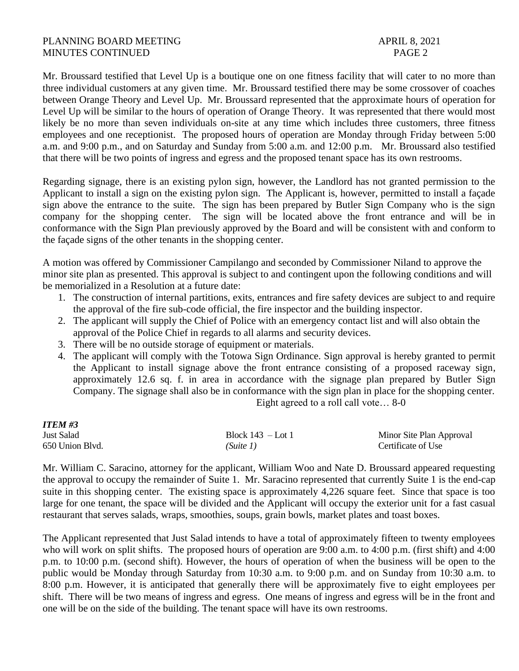### PLANNING BOARD MEETING APRIL 8, 2021 MINUTES CONTINUED PAGE 2

Mr. Broussard testified that Level Up is a boutique one on one fitness facility that will cater to no more than three individual customers at any given time. Mr. Broussard testified there may be some crossover of coaches between Orange Theory and Level Up. Mr. Broussard represented that the approximate hours of operation for Level Up will be similar to the hours of operation of Orange Theory. It was represented that there would most likely be no more than seven individuals on-site at any time which includes three customers, three fitness employees and one receptionist. The proposed hours of operation are Monday through Friday between 5:00 a.m. and 9:00 p.m., and on Saturday and Sunday from 5:00 a.m. and 12:00 p.m. Mr. Broussard also testified that there will be two points of ingress and egress and the proposed tenant space has its own restrooms.

Regarding signage, there is an existing pylon sign, however, the Landlord has not granted permission to the Applicant to install a sign on the existing pylon sign. The Applicant is, however, permitted to install a façade sign above the entrance to the suite. The sign has been prepared by Butler Sign Company who is the sign company for the shopping center. The sign will be located above the front entrance and will be in conformance with the Sign Plan previously approved by the Board and will be consistent with and conform to the façade signs of the other tenants in the shopping center.

A motion was offered by Commissioner Campilango and seconded by Commissioner Niland to approve the minor site plan as presented. This approval is subject to and contingent upon the following conditions and will be memorialized in a Resolution at a future date:

- 1. The construction of internal partitions, exits, entrances and fire safety devices are subject to and require the approval of the fire sub-code official, the fire inspector and the building inspector.
- 2. The applicant will supply the Chief of Police with an emergency contact list and will also obtain the approval of the Police Chief in regards to all alarms and security devices.
- 3. There will be no outside storage of equipment or materials.
- 4. The applicant will comply with the Totowa Sign Ordinance. Sign approval is hereby granted to permit the Applicant to install signage above the front entrance consisting of a proposed raceway sign, approximately 12.6 sq. f. in area in accordance with the signage plan prepared by Butler Sign Company. The signage shall also be in conformance with the sign plan in place for the shopping center. Eight agreed to a roll call vote… 8-0

| <b>ITEM #3</b>  |                     |                          |  |
|-----------------|---------------------|--------------------------|--|
| Just Salad      | Block $143 -$ Lot 1 | Minor Site Plan Approval |  |
| 650 Union Blvd. | (Suite 1)           | Certificate of Use       |  |

Mr. William C. Saracino, attorney for the applicant, William Woo and Nate D. Broussard appeared requesting the approval to occupy the remainder of Suite 1. Mr. Saracino represented that currently Suite 1 is the end-cap suite in this shopping center. The existing space is approximately 4,226 square feet. Since that space is too large for one tenant, the space will be divided and the Applicant will occupy the exterior unit for a fast casual restaurant that serves salads, wraps, smoothies, soups, grain bowls, market plates and toast boxes.

The Applicant represented that Just Salad intends to have a total of approximately fifteen to twenty employees who will work on split shifts. The proposed hours of operation are 9:00 a.m. to 4:00 p.m. (first shift) and 4:00 p.m. to 10:00 p.m. (second shift). However, the hours of operation of when the business will be open to the public would be Monday through Saturday from 10:30 a.m. to 9:00 p.m. and on Sunday from 10:30 a.m. to 8:00 p.m. However, it is anticipated that generally there will be approximately five to eight employees per shift. There will be two means of ingress and egress. One means of ingress and egress will be in the front and one will be on the side of the building. The tenant space will have its own restrooms.